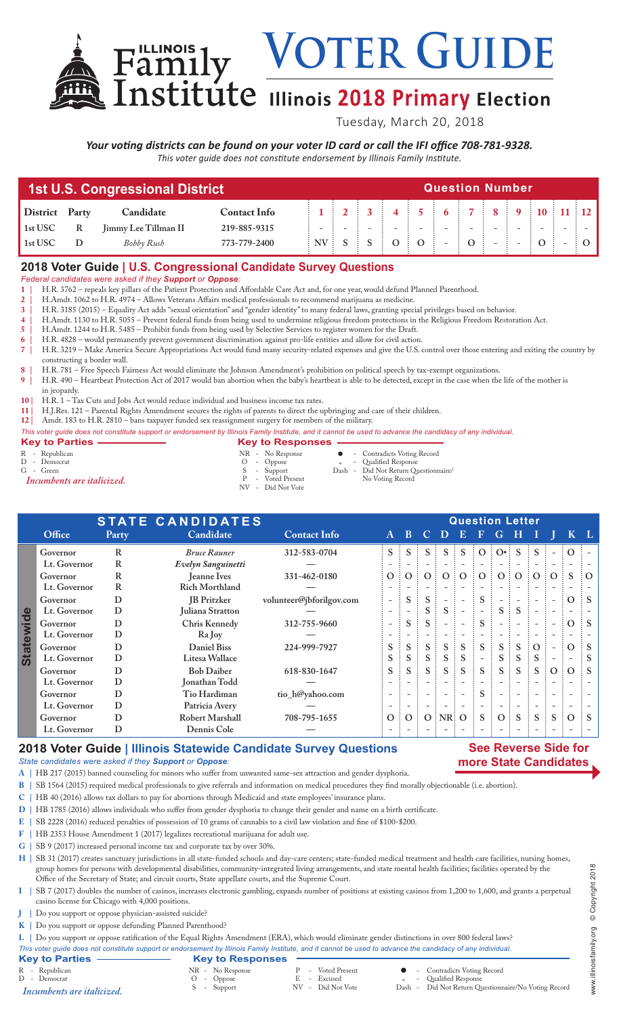**Voter Guide Family VOTER GUIDE**<br>
Institute **Illinois** 2018 Primary Election

Tuesday, March 20, 2018

*Your voting districts can be found on your voter ID card or call the IFI office 708-781-9328. This voter guide does not constitute endorsement by Illinois Family Institute.*

| 1st U.S. Congressional District |              |                             |                     |  |  | <b>Question Number</b> |  |  |  |  |  |  |  |  |  |  |  |  |  |
|---------------------------------|--------------|-----------------------------|---------------------|--|--|------------------------|--|--|--|--|--|--|--|--|--|--|--|--|--|
| District Party                  |              | Candidate                   | <b>Contact Info</b> |  |  |                        |  |  |  |  |  |  |  |  |  |  |  |  |  |
| 1st USC                         | $\mathbb{R}$ | <b>Jimmy Lee Tillman II</b> | 219-885-9315        |  |  |                        |  |  |  |  |  |  |  |  |  |  |  |  |  |
| 1st USC                         |              | Bobby Rush                  | 773-779-2400        |  |  |                        |  |  |  |  |  |  |  |  |  |  |  |  |  |

## **2018 Voter Guide | U.S. Congressional Candidate Survey Questions**

*Federal candidates were asked if they Support or Oppose:*

- **1 |** H.R. 3762 repeals key pillars of the Patient Protection and Affordable Care Act and, for one year, would defund Planned Parenthood.
- **2 |** H.Amdt. 1062 to H.R. 4974 Allows Veterans Affairs medical professionals to recommend marijuana as medicine.
- **3 |** H.R. 3185 (2015) Equality Act adds "sexual orientation" and "gender identity" to many federal laws, granting special privileges based on behavior.
- **4 |** H.Amdt. 1130 to H.R. 5055 Prevent federal funds from being used to undermine religious freedom protections in the Religious Freedom Restoration Act.
- **5** | H.Amdt. 1244 to H.R. 5485 Prohibit funds from being used by Selective Services to register women for the Draft.<br> **6** | H.R. 4828 would permanently prevent government discrimination against pro-life entities and a
- **6 |** H.R. 4828 would permanently prevent government discrimination against pro-life entities and allow for civil action. **7 |** H.R. 3219 – Make America Secure Appropriations Act would fund many security-related expenses and give the U.S. control over those entering and exiting the country by constructing a border wall.
- **8 |** H.R. 781 Free Speech Fairness Act would eliminate the Johnson Amendment's prohibition on political speech by tax-exempt organizations.
- **9 |** H.R. 490 Heartbeat Protection Act of 2017 would ban abortion when the baby's heartbeat is able to be detected, except in the case when the life of the mother is in jeopardy.
- **10 |** H.R. 1 Tax Cuts and Jobs Act would reduce individual and business income tax rates.
- **11 |** H.J.Res. 121 Parental Rights Amendment secures the rights of parents to direct the upbringing and care of their children.
- **12 |** Amdt. 183 to H.R. 2810 bans taxpayer funded sex reassignment surgery for members of the military.
- *This voter guide does not constitute support or endorsement by Illinois Family Institute, and it cannot be used to advance the candidacy of any individual.*

| <b>Key to Parties</b>      | <b>Key to Responses</b> |        |                                      |
|----------------------------|-------------------------|--------|--------------------------------------|
| R - Republican             | NR - No Response        |        | • Contradicts Voting Record          |
| D - Democrat               | $O$ - Oppose            | $\ast$ | - Qualified Response                 |
| G - Green                  | S - Support             |        | Dash - Did Not Return Questionnaire/ |
| Incumbents are italicized. | P - Voted Present       |        | No Voting Record                     |
|                            | NV - Did Not Vote       |        |                                      |

|                                        | <b>STATE CANDIDATES</b> |             |                       | <b>Question Letter</b>   |                          |                          |                |                          |                          |              |                          |              |                     |                          |          |                          |
|----------------------------------------|-------------------------|-------------|-----------------------|--------------------------|--------------------------|--------------------------|----------------|--------------------------|--------------------------|--------------|--------------------------|--------------|---------------------|--------------------------|----------|--------------------------|
|                                        | Office                  | Party       | Candidate             | <b>Contact Info</b>      | $A \quad B$              |                          |                | $C$ D                    | EF                       |              | G                        | Н            |                     |                          |          | $K^{\dagger}L^{\dagger}$ |
|                                        | Governor                | R           | <b>Bruce Rauner</b>   | 312-583-0704             | $S \vdots$               | S                        |                | S                        | S                        | $\Omega$     | $O\cdot$                 | S            |                     |                          |          |                          |
|                                        | Lt. Governor            | R           | Evelyn Sanguinetti    |                          |                          |                          |                |                          |                          |              |                          |              |                     |                          |          |                          |
| $\boldsymbol{\Phi}$<br><b>Statewid</b> | Governor                | R           | <b>Jeanne Ives</b>    | 331-462-0180             | $\overline{O}$ :         | $\Omega$                 | O <sub>1</sub> |                          | O:O                      | O:           |                          | O:O          | $\vdots$ O $\vdots$ | $\Omega$                 | S        | $\Omega$                 |
|                                        | Lt. Governor            | $\mathbf R$ | <b>Rich Morthland</b> |                          |                          |                          |                |                          |                          |              |                          |              |                     |                          |          |                          |
|                                        | Governor                | D           | <b>JB</b> Pritzker    | volunteer@jbforilgov.com |                          | S                        |                |                          |                          | S            |                          |              |                     |                          | $\Omega$ | $\therefore$ S           |
|                                        | Lt. Governor            | D           | Juliana Stratton      |                          |                          |                          |                | S.                       |                          |              | S.                       | <sub>S</sub> |                     |                          |          |                          |
|                                        | Governor                | D           | Chris Kennedy         | 312-755-9660             | $\overline{\phantom{0}}$ | S                        | S              |                          | $\overline{\phantom{0}}$ | <sub>S</sub> |                          |              |                     | $\overline{\phantom{a}}$ | $\Omega$ | $\therefore$ S           |
|                                        | Lt. Governor            | D           | Ra Joy                |                          |                          |                          |                |                          |                          |              |                          |              |                     |                          |          |                          |
|                                        | Governor                | D           | Daniel Biss           | 224-999-7927             | S                        | S                        | $S$ :          | S                        | <sub>S</sub>             | S            | S.                       | <sub>S</sub> | $\Omega$            |                          | $\Omega$ |                          |
|                                        | Lt. Governor            | D           | Litesa Wallace        |                          | S                        | S                        | S              | S                        | <sub>S</sub>             |              | S.                       | <sub>S</sub> | <sub>S</sub>        |                          |          |                          |
|                                        | Governor                | D           | <b>Bob Daiber</b>     | 618-830-1647             | S.                       | S                        | S              | S                        | <sub>S</sub>             | S            |                          | $S \nvert S$ | S.                  | $\Omega$                 | $\Omega$ | $\mathbf{S}$             |
|                                        | Lt. Governor            | D           | Jonathan Todd         |                          |                          |                          |                | $\overline{\phantom{0}}$ |                          |              |                          |              |                     |                          |          |                          |
|                                        | Governor                | D           | Tio Hardiman          | tio_h@yahoo.com          | $\overline{\phantom{0}}$ |                          |                | $\overline{\phantom{0}}$ | $\overline{\phantom{a}}$ | S            | $\overline{\phantom{a}}$ |              |                     |                          |          |                          |
|                                        | Lt. Governor            | D           | Patricia Avery        |                          |                          | $\overline{\phantom{a}}$ |                | $\overline{\phantom{a}}$ | $\overline{\phantom{a}}$ |              | $\overline{\phantom{a}}$ |              |                     |                          |          |                          |
|                                        | Governor                | D           | Robert Marshall       | 708-795-1655             | $\overline{O}$ :         | $\Omega$                 |                | $O$ : NR: O              |                          | S            | O:                       | <sub>S</sub> | S                   | S                        | $\Omega$ | $\vdots$ S               |
|                                        | Lt. Governor            | D           | Dennis Cole           |                          |                          |                          |                |                          |                          |              |                          |              |                     |                          |          |                          |

# **2018 Voter Guide | Illinois Statewide Candidate Survey Questions**

### **See Reverse Side for more State Candidates**

- *State candidates were asked if they Support or Oppose:*
- **A |** HB 217 (2015) banned counseling for minors who suffer from unwanted same-sex attraction and gender dysphoria.
- **B |** SB 1564 (2015) required medical professionals to give referrals and information on medical procedures they find morally objectionable (i.e. abortion).
- **C |** HB 40 (2016) allows tax dollars to pay for abortions through Medicaid and state employees' insurance plans.
- **D |** HB 1785 (2016) allows individuals who suffer from gender dysphoria to change their gender and name on a birth certificate.
- **E |** SB 2228 (2016) reduced penalties of possession of 10 grams of cannabis to a civil law violation and fine of \$100-\$200.
- **F |** HB 2353 House Amendment 1 (2017) legalizes recreational marijuana for adult use.
- **G |** SB 9 (2017) increased personal income tax and corporate tax by over 30%.

**H |** SB 31 (2017) creates sanctuary jurisdictions in all state-funded schools and day-care centers; state-funded medical treatment and health care facilities, nursing homes, group homes for persons with developmental disabilities, community-integrated living arrangements, and state mental health facilities; facilities operated by the Office of the Secretary of State; and circuit courts, State appellate courts, and the Supreme Court.

- **I |** SB 7 (2017) doubles the number of casinos, increases electronic gambling, expands number of positions at existing casinos from 1,200 to 1,600, and grants a perpetual casino license for Chicago with 4,000 positions.
- **J |** Do you support or oppose physician-assisted suicide?
- **K |** Do you support or oppose defunding Planned Parenthood?

**L |** Do you support or oppose ratification of the Equal Rights Amendment (ERA), which would eliminate gender distinctions in over 800 federal laws?

- 
- *This voter guide does not constitute support or endorsement by Illinois Family Institute, and it cannot be used to advance the candidacy of any individual.* **Key to Parties Key to Responses**<br>
R - Republican<br>
D - Democrat<br>
Incumbents are italicized.<br>
S - Support R - Voted Present **C** - Contradicts Voting Record<br>
R - Excused \* - Qualified Response<br>
NR - Did Not Vote Dash - Did Not Return Questionn <sup>D</sup> - Democrat <sup>O</sup> - Oppose <sup>E</sup> - Excused \* - Qualified Response S - Support NV - Did Not Vote Dash - Did Not Return Questionnaire/No Voting Record *Incumbents are italicized.*